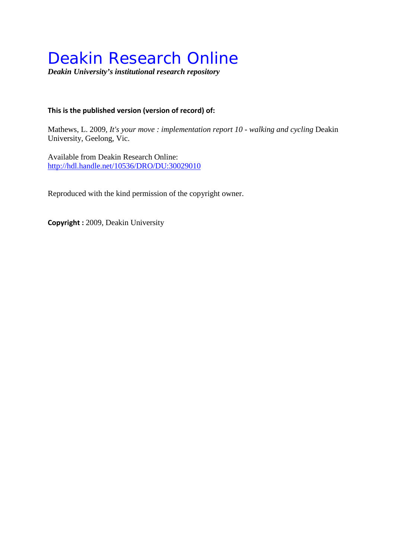# Deakin Research Online

*Deakin University's institutional research repository*

#### **This is the published version (version of record) of:**

Mathews, L. 2009*, It's your move : implementation report 10 - walking and cycling* Deakin University, Geelong, Vic.

Available from Deakin Research Online: <http://hdl.handle.net/10536/DRO/DU:30029010>

Reproduced with the kind permission of the copyright owner.

**Copyright :** 2009, Deakin University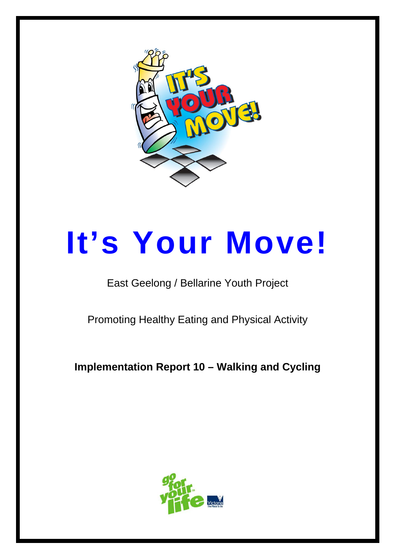

# **It's Your Move!**

East Geelong / Bellarine Youth Project

Promoting Healthy Eating and Physical Activity

**Implementation Report 10 – Walking and Cycling** 

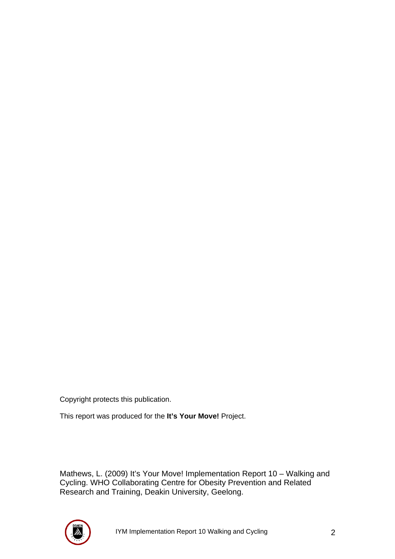Copyright protects this publication.

This report was produced for the **It's Your Move!** Project.

Mathews, L. (2009) It's Your Move! Implementation Report 10 – Walking and Cycling. WHO Collaborating Centre for Obesity Prevention and Related Research and Training, Deakin University, Geelong.



IYM Implementation Report 10 Walking and Cycling 2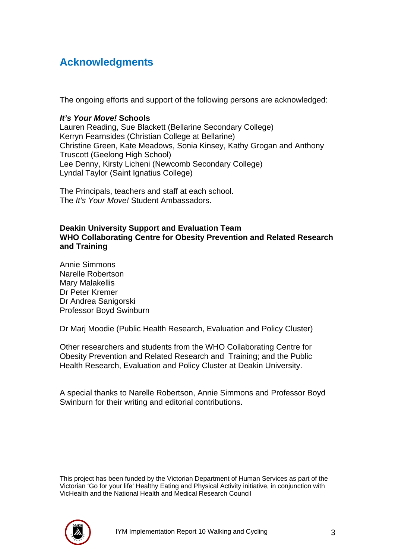# <span id="page-3-0"></span>**Acknowledgments**

The ongoing efforts and support of the following persons are acknowledged:

#### *It's Your Move!* **Schools**

Lauren Reading, Sue Blackett (Bellarine Secondary College) Kerryn Fearnsides (Christian College at Bellarine) Christine Green, Kate Meadows, Sonia Kinsey, Kathy Grogan and Anthony Truscott (Geelong High School) Lee Denny, Kirsty Licheni (Newcomb Secondary College) Lyndal Taylor (Saint Ignatius College)

The Principals, teachers and staff at each school. The *It's Your Move!* Student Ambassadors.

#### **Deakin University Support and Evaluation Team WHO Collaborating Centre for Obesity Prevention and Related Research and Training**

Annie Simmons Narelle Robertson Mary Malakellis Dr Peter Kremer Dr Andrea Sanigorski Professor Boyd Swinburn

Dr Marj Moodie (Public Health Research, Evaluation and Policy Cluster)

Other researchers and students from the WHO Collaborating Centre for Obesity Prevention and Related Research and Training; and the Public Health Research, Evaluation and Policy Cluster at Deakin University.

A special thanks to Narelle Robertson, Annie Simmons and Professor Boyd Swinburn for their writing and editorial contributions.

This project has been funded by the Victorian Department of Human Services as part of the Victorian 'Go for your life' Healthy Eating and Physical Activity initiative, in conjunction with VicHealth and the National Health and Medical Research Council

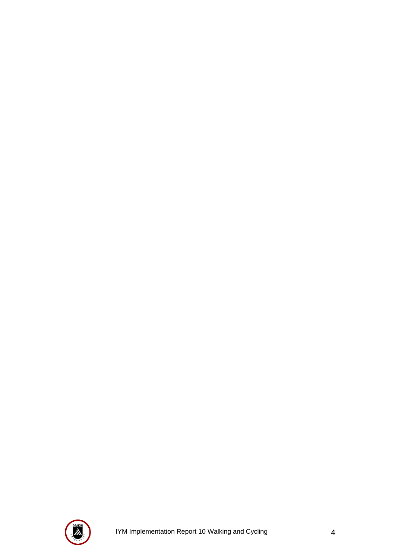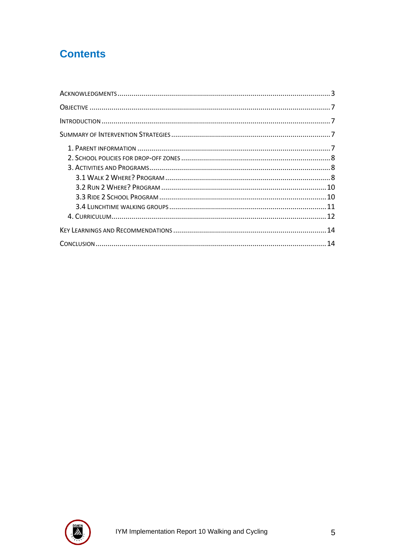# **Contents**

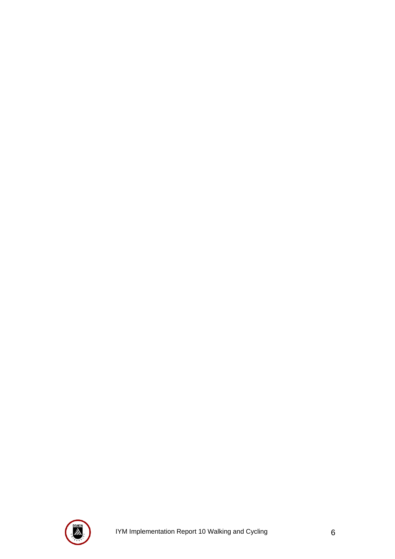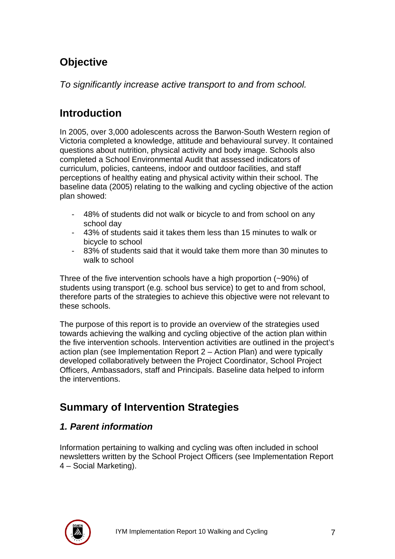# <span id="page-7-0"></span>**Objective**

*To significantly increase active transport to and from school.*

# **Introduction**

In 2005, over 3,000 adolescents across the Barwon-South Western region of Victoria completed a knowledge, attitude and behavioural survey. It contained questions about nutrition, physical activity and body image. Schools also completed a School Environmental Audit that assessed indicators of curriculum, policies, canteens, indoor and outdoor facilities, and staff perceptions of healthy eating and physical activity within their school. The baseline data (2005) relating to the walking and cycling objective of the action plan showed:

- 48% of students did not walk or bicycle to and from school on any school day
- 43% of students said it takes them less than 15 minutes to walk or bicycle to school
- 83% of students said that it would take them more than 30 minutes to walk to school

Three of the five intervention schools have a high proportion (~90%) of students using transport (e.g. school bus service) to get to and from school, therefore parts of the strategies to achieve this objective were not relevant to these schools.

The purpose of this report is to provide an overview of the strategies used towards achieving the walking and cycling objective of the action plan within the five intervention schools. Intervention activities are outlined in the project's action plan (see Implementation Report 2 – Action Plan) and were typically developed collaboratively between the Project Coordinator, School Project Officers, Ambassadors, staff and Principals. Baseline data helped to inform the interventions.

# **Summary of Intervention Strategies**

# *1. Parent information*

Information pertaining to walking and cycling was often included in school newsletters written by the School Project Officers (see Implementation Report 4 – Social Marketing).

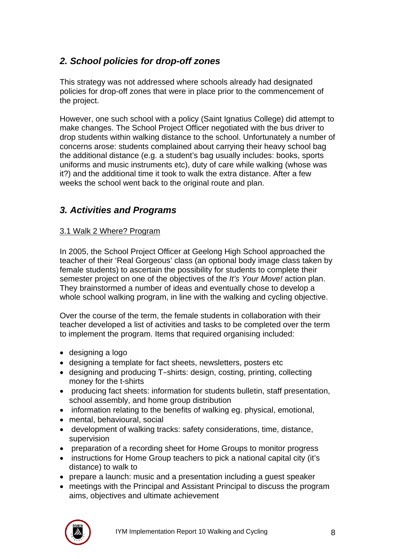## <span id="page-8-0"></span>*2. School policies for drop-off zones*

This strategy was not addressed where schools already had designated policies for drop-off zones that were in place prior to the commencement of the project.

However, one such school with a policy (Saint Ignatius College) did attempt to make changes. The School Project Officer negotiated with the bus driver to drop students within walking distance to the school. Unfortunately a number of concerns arose: students complained about carrying their heavy school bag the additional distance (e.g. a student's bag usually includes: books, sports uniforms and music instruments etc), duty of care while walking (whose was it?) and the additional time it took to walk the extra distance. After a few weeks the school went back to the original route and plan.

## *3. Activities and Programs*

#### 3.1 Walk 2 Where? Program

In 2005, the School Project Officer at Geelong High School approached the teacher of their 'Real Gorgeous' class (an optional body image class taken by female students) to ascertain the possibility for students to complete their semester project on one of the objectives of the *It's Your Move!* action plan. They brainstormed a number of ideas and eventually chose to develop a whole school walking program, in line with the walking and cycling objective.

Over the course of the term, the female students in collaboration with their teacher developed a list of activities and tasks to be completed over the term to implement the program. Items that required organising included:

- designing a logo
- designing a template for fact sheets, newsletters, posters etc
- designing and producing T–shirts: design, costing, printing, collecting money for the t-shirts
- producing fact sheets: information for students bulletin, staff presentation, school assembly, and home group distribution
- information relating to the benefits of walking eg. physical, emotional,
- mental, behavioural, social
- development of walking tracks: safety considerations, time, distance, supervision
- preparation of a recording sheet for Home Groups to monitor progress
- instructions for Home Group teachers to pick a national capital city (it's distance) to walk to
- prepare a launch: music and a presentation including a guest speaker
- meetings with the Principal and Assistant Principal to discuss the program aims, objectives and ultimate achievement

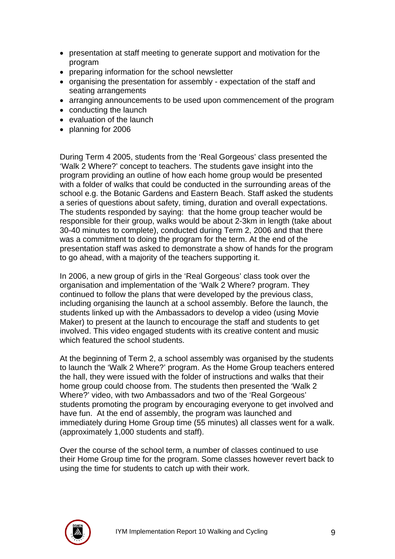- presentation at staff meeting to generate support and motivation for the program
- preparing information for the school newsletter
- organising the presentation for assembly expectation of the staff and seating arrangements
- arranging announcements to be used upon commencement of the program
- conducting the launch
- evaluation of the launch
- planning for 2006

During Term 4 2005, students from the 'Real Gorgeous' class presented the 'Walk 2 Where?' concept to teachers. The students gave insight into the program providing an outline of how each home group would be presented with a folder of walks that could be conducted in the surrounding areas of the school e.g. the Botanic Gardens and Eastern Beach. Staff asked the students a series of questions about safety, timing, duration and overall expectations. The students responded by saying: that the home group teacher would be responsible for their group, walks would be about 2-3km in length (take about 30-40 minutes to complete), conducted during Term 2, 2006 and that there was a commitment to doing the program for the term. At the end of the presentation staff was asked to demonstrate a show of hands for the program to go ahead, with a majority of the teachers supporting it.

In 2006, a new group of girls in the 'Real Gorgeous' class took over the organisation and implementation of the 'Walk 2 Where? program. They continued to follow the plans that were developed by the previous class, including organising the launch at a school assembly. Before the launch, the students linked up with the Ambassadors to develop a video (using Movie Maker) to present at the launch to encourage the staff and students to get involved. This video engaged students with its creative content and music which featured the school students.

At the beginning of Term 2, a school assembly was organised by the students to launch the 'Walk 2 Where?' program. As the Home Group teachers entered the hall, they were issued with the folder of instructions and walks that their home group could choose from. The students then presented the 'Walk 2 Where?' video, with two Ambassadors and two of the 'Real Gorgeous' students promoting the program by encouraging everyone to get involved and have fun. At the end of assembly, the program was launched and immediately during Home Group time (55 minutes) all classes went for a walk. (approximately 1,000 students and staff).

Over the course of the school term, a number of classes continued to use their Home Group time for the program. Some classes however revert back to using the time for students to catch up with their work.

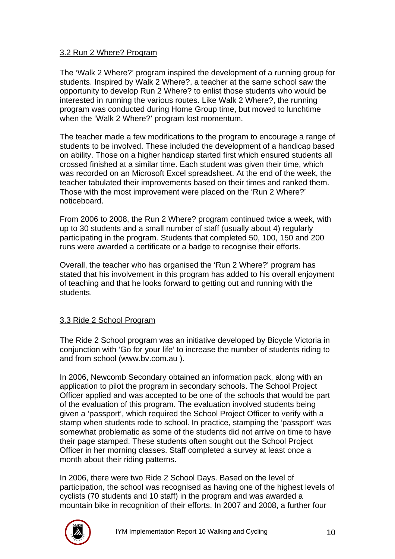## <span id="page-10-0"></span>3.2 Run 2 Where? Program

The 'Walk 2 Where?' program inspired the development of a running group for students. Inspired by Walk 2 Where?, a teacher at the same school saw the opportunity to develop Run 2 Where? to enlist those students who would be interested in running the various routes. Like Walk 2 Where?, the running program was conducted during Home Group time, but moved to lunchtime when the 'Walk 2 Where?' program lost momentum.

The teacher made a few modifications to the program to encourage a range of students to be involved. These included the development of a handicap based on ability. Those on a higher handicap started first which ensured students all crossed finished at a similar time. Each student was given their time, which was recorded on an Microsoft Excel spreadsheet. At the end of the week, the teacher tabulated their improvements based on their times and ranked them. Those with the most improvement were placed on the 'Run 2 Where?' noticeboard.

From 2006 to 2008, the Run 2 Where? program continued twice a week, with up to 30 students and a small number of staff (usually about 4) regularly participating in the program. Students that completed 50, 100, 150 and 200 runs were awarded a certificate or a badge to recognise their efforts.

Overall, the teacher who has organised the 'Run 2 Where?' program has stated that his involvement in this program has added to his overall enjoyment of teaching and that he looks forward to getting out and running with the students.

### 3.3 Ride 2 School Program

The Ride 2 School program was an initiative developed by Bicycle Victoria in conjunction with 'Go for your life' to increase the number of students riding to and from school ([www.bv.com.au](http://www.bv.com.au/) ).

In 2006, Newcomb Secondary obtained an information pack, along with an application to pilot the program in secondary schools. The School Project Officer applied and was accepted to be one of the schools that would be part of the evaluation of this program. The evaluation involved students being given a 'passport', which required the School Project Officer to verify with a stamp when students rode to school. In practice, stamping the 'passport' was somewhat problematic as some of the students did not arrive on time to have their page stamped. These students often sought out the School Project Officer in her morning classes. Staff completed a survey at least once a month about their riding patterns.

In 2006, there were two Ride 2 School Days. Based on the level of participation, the school was recognised as having one of the highest levels of cyclists (70 students and 10 staff) in the program and was awarded a mountain bike in recognition of their efforts. In 2007 and 2008, a further four

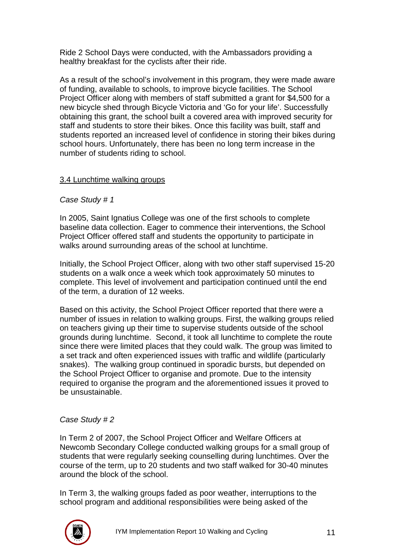<span id="page-11-0"></span>Ride 2 School Days were conducted, with the Ambassadors providing a healthy breakfast for the cyclists after their ride.

As a result of the school's involvement in this program, they were made aware of funding, available to schools, to improve bicycle facilities. The School Project Officer along with members of staff submitted a grant for \$4,500 for a new bicycle shed through Bicycle Victoria and 'Go for your life'. Successfully obtaining this grant, the school built a covered area with improved security for staff and students to store their bikes. Once this facility was built, staff and students reported an increased level of confidence in storing their bikes during school hours. Unfortunately, there has been no long term increase in the number of students riding to school.

#### 3.4 Lunchtime walking groups

#### *Case Study # 1*

In 2005, Saint Ignatius College was one of the first schools to complete baseline data collection. Eager to commence their interventions, the School Project Officer offered staff and students the opportunity to participate in walks around surrounding areas of the school at lunchtime.

Initially, the School Project Officer, along with two other staff supervised 15-20 students on a walk once a week which took approximately 50 minutes to complete. This level of involvement and participation continued until the end of the term, a duration of 12 weeks.

Based on this activity, the School Project Officer reported that there were a number of issues in relation to walking groups. First, the walking groups relied on teachers giving up their time to supervise students outside of the school grounds during lunchtime. Second, it took all lunchtime to complete the route since there were limited places that they could walk. The group was limited to a set track and often experienced issues with traffic and wildlife (particularly snakes). The walking group continued in sporadic bursts, but depended on the School Project Officer to organise and promote. Due to the intensity required to organise the program and the aforementioned issues it proved to be unsustainable.

### *Case Study # 2*

In Term 2 of 2007, the School Project Officer and Welfare Officers at Newcomb Secondary College conducted walking groups for a small group of students that were regularly seeking counselling during lunchtimes. Over the course of the term, up to 20 students and two staff walked for 30-40 minutes around the block of the school.

In Term 3, the walking groups faded as poor weather, interruptions to the school program and additional responsibilities were being asked of the

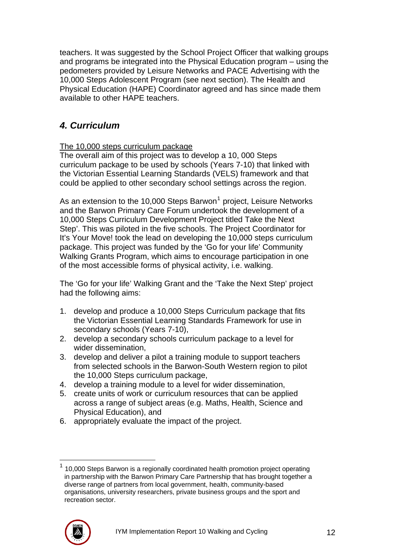<span id="page-12-0"></span>teachers. It was suggested by the School Project Officer that walking groups and programs be integrated into the Physical Education program – using the pedometers provided by Leisure Networks and PACE Advertising with the 10,000 Steps Adolescent Program (see next section). The Health and Physical Education (HAPE) Coordinator agreed and has since made them available to other HAPE teachers.

## *4. Curriculum*

### The 10,000 steps curriculum package

The overall aim of this project was to develop a 10, 000 Steps curriculum package to be used by schools (Years 7-10) that linked with the Victorian Essential Learning Standards (VELS) framework and that could be applied to other secondary school settings across the region.

As an extension to the [1](#page-12-1)0,000 Steps Barwon<sup>1</sup> project, Leisure Networks and the Barwon Primary Care Forum undertook the development of a 10,000 Steps Curriculum Development Project titled Take the Next Step'. This was piloted in the five schools. The Project Coordinator for It's Your Move! took the lead on developing the 10,000 steps curriculum package. This project was funded by the 'Go for your life' Community Walking Grants Program, which aims to encourage participation in one of the most accessible forms of physical activity, i.e. walking.

The 'Go for your life' Walking Grant and the 'Take the Next Step' project had the following aims:

- 1. develop and produce a 10,000 Steps Curriculum package that fits the Victorian Essential Learning Standards Framework for use in secondary schools (Years 7-10),
- 2. develop a secondary schools curriculum package to a level for wider dissemination,
- 3. develop and deliver a pilot a training module to support teachers from selected schools in the Barwon-South Western region to pilot the 10,000 Steps curriculum package,
- 4. develop a training module to a level for wider dissemination,
- 5. create units of work or curriculum resources that can be applied across a range of subject areas (e.g. Maths, Health, Science and Physical Education), and
- 6. appropriately evaluate the impact of the project.

<sup>1</sup> 10,000 Steps Barwon is a regionally coordinated health promotion project operating in partnership with the Barwon Primary Care Partnership that has brought together a diverse range of partners from local government, health, community-based organisations, university researchers, private business groups and the sport and recreation sector.



<span id="page-12-1"></span> $\overline{a}$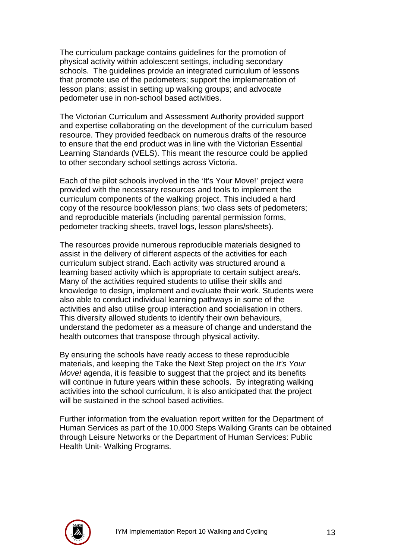The curriculum package contains guidelines for the promotion of physical activity within adolescent settings, including secondary schools. The guidelines provide an integrated curriculum of lessons that promote use of the pedometers; support the implementation of lesson plans; assist in setting up walking groups; and advocate pedometer use in non-school based activities.

The Victorian Curriculum and Assessment Authority provided support and expertise collaborating on the development of the curriculum based resource. They provided feedback on numerous drafts of the resource to ensure that the end product was in line with the Victorian Essential Learning Standards (VELS). This meant the resource could be applied to other secondary school settings across Victoria.

Each of the pilot schools involved in the 'It's Your Move!' project were provided with the necessary resources and tools to implement the curriculum components of the walking project. This included a hard copy of the resource book/lesson plans; two class sets of pedometers; and reproducible materials (including parental permission forms, pedometer tracking sheets, travel logs, lesson plans/sheets).

The resources provide numerous reproducible materials designed to assist in the delivery of different aspects of the activities for each curriculum subject strand. Each activity was structured around a learning based activity which is appropriate to certain subject area/s. Many of the activities required students to utilise their skills and knowledge to design, implement and evaluate their work. Students were also able to conduct individual learning pathways in some of the activities and also utilise group interaction and socialisation in others. This diversity allowed students to identify their own behaviours, understand the pedometer as a measure of change and understand the health outcomes that transpose through physical activity.

By ensuring the schools have ready access to these reproducible materials, and keeping the Take the Next Step project on the *It's Your Move!* agenda, it is feasible to suggest that the project and its benefits will continue in future years within these schools. By integrating walking activities into the school curriculum, it is also anticipated that the project will be sustained in the school based activities.

Further information from the evaluation report written for the Department of Human Services as part of the 10,000 Steps Walking Grants can be obtained through Leisure Networks or the Department of Human Services: Public Health Unit- Walking Programs.